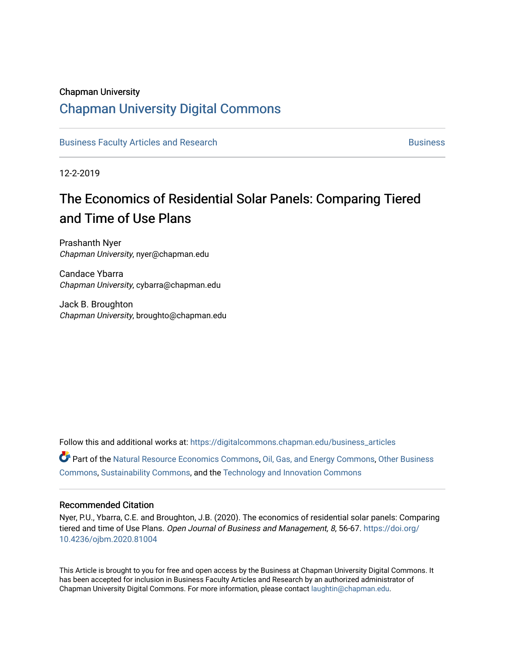#### Chapman University

## [Chapman University Digital Commons](https://digitalcommons.chapman.edu/)

[Business Faculty Articles and Research](https://digitalcommons.chapman.edu/business_articles) [Business](https://digitalcommons.chapman.edu/business) **Business** Business

12-2-2019

# The Economics of Residential Solar Panels: Comparing Tiered and Time of Use Plans

Prashanth Nyer Chapman University, nyer@chapman.edu

Candace Ybarra Chapman University, cybarra@chapman.edu

Jack B. Broughton Chapman University, broughto@chapman.edu

Follow this and additional works at: [https://digitalcommons.chapman.edu/business\\_articles](https://digitalcommons.chapman.edu/business_articles?utm_source=digitalcommons.chapman.edu%2Fbusiness_articles%2F96&utm_medium=PDF&utm_campaign=PDFCoverPages) 

Part of the [Natural Resource Economics Commons](http://network.bepress.com/hgg/discipline/169?utm_source=digitalcommons.chapman.edu%2Fbusiness_articles%2F96&utm_medium=PDF&utm_campaign=PDFCoverPages), [Oil, Gas, and Energy Commons](http://network.bepress.com/hgg/discipline/171?utm_source=digitalcommons.chapman.edu%2Fbusiness_articles%2F96&utm_medium=PDF&utm_campaign=PDFCoverPages), [Other Business](http://network.bepress.com/hgg/discipline/647?utm_source=digitalcommons.chapman.edu%2Fbusiness_articles%2F96&utm_medium=PDF&utm_campaign=PDFCoverPages) [Commons](http://network.bepress.com/hgg/discipline/647?utm_source=digitalcommons.chapman.edu%2Fbusiness_articles%2F96&utm_medium=PDF&utm_campaign=PDFCoverPages), [Sustainability Commons,](http://network.bepress.com/hgg/discipline/1031?utm_source=digitalcommons.chapman.edu%2Fbusiness_articles%2F96&utm_medium=PDF&utm_campaign=PDFCoverPages) and the [Technology and Innovation Commons](http://network.bepress.com/hgg/discipline/644?utm_source=digitalcommons.chapman.edu%2Fbusiness_articles%2F96&utm_medium=PDF&utm_campaign=PDFCoverPages) 

#### Recommended Citation

Nyer, P.U., Ybarra, C.E. and Broughton, J.B. (2020). The economics of residential solar panels: Comparing tiered and time of Use Plans. Open Journal of Business and Management, 8, 56-67. [https://doi.org/](https://doi.org/10.4236/ojbm.2020.81004) [10.4236/ojbm.2020.81004](https://doi.org/10.4236/ojbm.2020.81004) 

This Article is brought to you for free and open access by the Business at Chapman University Digital Commons. It has been accepted for inclusion in Business Faculty Articles and Research by an authorized administrator of Chapman University Digital Commons. For more information, please contact [laughtin@chapman.edu](mailto:laughtin@chapman.edu).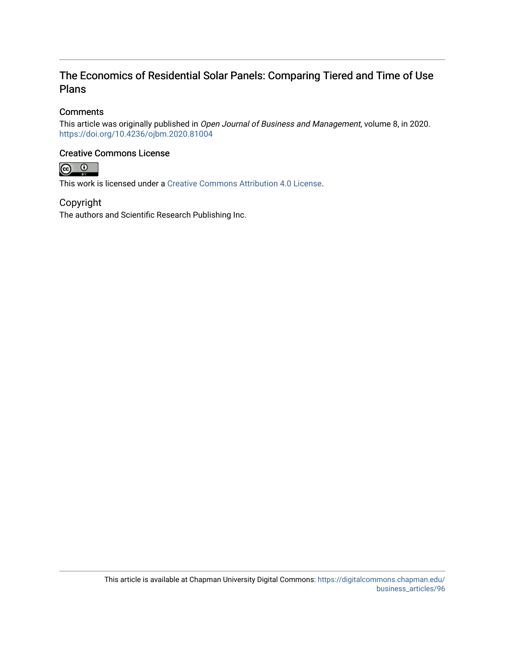### The Economics of Residential Solar Panels: Comparing Tiered and Time of Use Plans

#### **Comments**

This article was originally published in Open Journal of Business and Management, volume 8, in 2020. <https://doi.org/10.4236/ojbm.2020.81004>

#### Creative Commons License



This work is licensed under a [Creative Commons Attribution 4.0 License](https://creativecommons.org/licenses/by/4.0/).

Copyright The authors and Scientific Research Publishing Inc.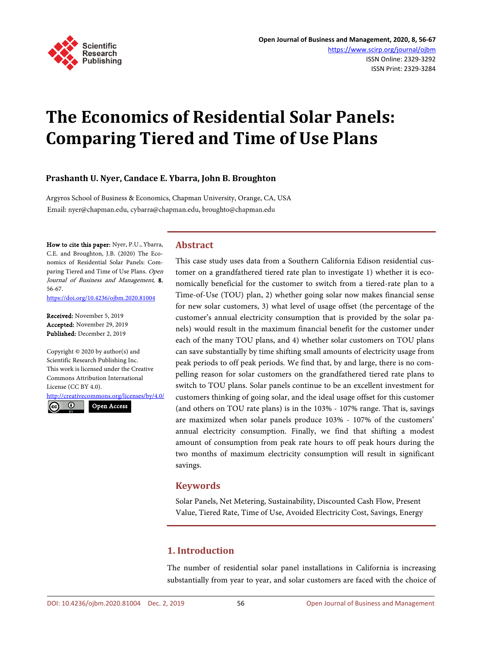

# **The Economics of Residential Solar Panels: Comparing Tiered and Time of Use Plans**

#### **Prashanth U. Nyer, Candace E. Ybarra, John B. Broughton**

Argyros School of Business & Economics, Chapman University, Orange, CA, USA Email: nyer@chapman.edu, cybarra@chapman.edu, broughto@chapman.edu

How to cite this paper: Nyer, P.U., Ybarra, C.E. and Broughton, J.B. (2020) The Economics of Residential Solar Panels: Comparing Tiered and Time of Use Plans. Open Journal of Business and Management, 8, 56-67.

<https://doi.org/10.4236/ojbm.2020.81004>

Received: November 5, 2019 Accepted: November 29, 2019 Published: December 2, 2019

Copyright © 2020 by author(s) and Scientific Research Publishing Inc. This work is licensed under the Creative Commons Attribution International License (CC BY 4.0).

<http://creativecommons.org/licenses/by/4.0/> Open Access

 $\odot$ 

#### **Abstract**

This case study uses data from a Southern California Edison residential customer on a grandfathered tiered rate plan to investigate 1) whether it is economically beneficial for the customer to switch from a tiered-rate plan to a Time-of-Use (TOU) plan, 2) whether going solar now makes financial sense for new solar customers, 3) what level of usage offset (the percentage of the customer's annual electricity consumption that is provided by the solar panels) would result in the maximum financial benefit for the customer under each of the many TOU plans, and 4) whether solar customers on TOU plans can save substantially by time shifting small amounts of electricity usage from peak periods to off peak periods. We find that, by and large, there is no compelling reason for solar customers on the grandfathered tiered rate plans to switch to TOU plans. Solar panels continue to be an excellent investment for customers thinking of going solar, and the ideal usage offset for this customer (and others on TOU rate plans) is in the 103% - 107% range. That is, savings are maximized when solar panels produce 103% - 107% of the customers' annual electricity consumption. Finally, we find that shifting a modest amount of consumption from peak rate hours to off peak hours during the two months of maximum electricity consumption will result in significant savings.

#### **Keywords**

Solar Panels, Net Metering, Sustainability, Discounted Cash Flow, Present Value, Tiered Rate, Time of Use, Avoided Electricity Cost, Savings, Energy

#### **1. Introduction**

The number of residential solar panel installations in California is increasing substantially from year to year, and solar customers are faced with the choice of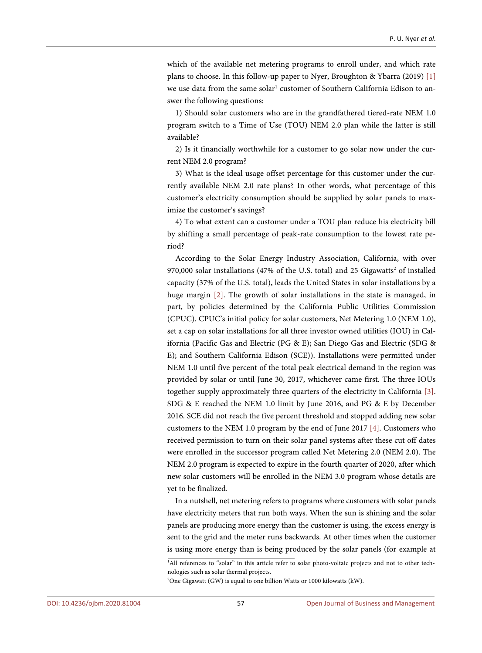which of the available net metering programs to enroll under, and which rate plans to choose. In this follow-up paper to Nyer, Broughton & Ybarra (2019) [\[1\]](#page-13-0) we use data from the same solar<sup>1</sup> customer of Southern California Edison to answer the following questions:

1) Should solar customers who are in the grandfathered tiered-rate NEM 1.0 program switch to a Time of Use (TOU) NEM 2.0 plan while the latter is still available?

2) Is it financially worthwhile for a customer to go solar now under the current NEM 2.0 program?

3) What is the ideal usage offset percentage for this customer under the currently available NEM 2.0 rate plans? In other words, what percentage of this customer's electricity consumption should be supplied by solar panels to maximize the customer's savings?

4) To what extent can a customer under a TOU plan reduce his electricity bill by shifting a small percentage of peak-rate consumption to the lowest rate period?

According to the Solar Energy Industry Association, California, with over 970,000 solar installations (47% of the U.S. total) and 25 Gigawatts<sup>2</sup> of installed capacity (37% of the U.S. total), leads the United States in solar installations by a huge margin [\[2\].](#page-13-1) The growth of solar installations in the state is managed, in part, by policies determined by the California Public Utilities Commission (CPUC). CPUC's initial policy for solar customers, Net Metering 1.0 (NEM 1.0), set a cap on solar installations for all three investor owned utilities (IOU) in California (Pacific Gas and Electric (PG & E); San Diego Gas and Electric (SDG & E); and Southern California Edison (SCE)). Installations were permitted under NEM 1.0 until five percent of the total peak electrical demand in the region was provided by solar or until June 30, 2017, whichever came first. The three IOUs together supply approximately three quarters of the electricity in California [\[3\].](#page-13-2)  SDG & E reached the NEM 1.0 limit by June 2016, and PG & E by December 2016. SCE did not reach the five percent threshold and stopped adding new solar customers to the NEM 1.0 program by the end of June 2017 [\[4\].](#page-13-3) Customers who received permission to turn on their solar panel systems after these cut off dates were enrolled in the successor program called Net Metering 2.0 (NEM 2.0). The NEM 2.0 program is expected to expire in the fourth quarter of 2020, after which new solar customers will be enrolled in the NEM 3.0 program whose details are yet to be finalized.

In a nutshell, net metering refers to programs where customers with solar panels have electricity meters that run both ways. When the sun is shining and the solar panels are producing more energy than the customer is using, the excess energy is sent to the grid and the meter runs backwards. At other times when the customer is using more energy than is being produced by the solar panels (for example at

<sup>&</sup>lt;sup>1</sup>All references to "solar" in this article refer to solar photo-voltaic projects and not to other technologies such as solar thermal projects.

<sup>&</sup>lt;sup>2</sup>One Gigawatt (GW) is equal to one billion Watts or 1000 kilowatts (kW).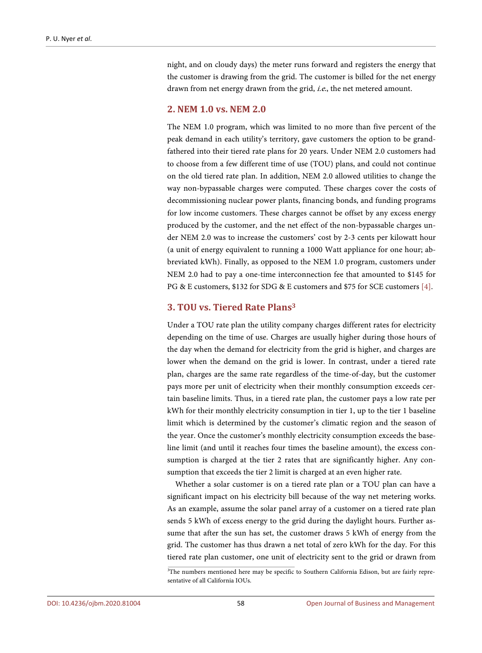night, and on cloudy days) the meter runs forward and registers the energy that the customer is drawing from the grid. The customer is billed for the net energy drawn from net energy drawn from the grid, i.e., the net metered amount.

#### **2. NEM 1.0 vs. NEM 2.0**

The NEM 1.0 program, which was limited to no more than five percent of the peak demand in each utility's territory, gave customers the option to be grandfathered into their tiered rate plans for 20 years. Under NEM 2.0 customers had to choose from a few different time of use (TOU) plans, and could not continue on the old tiered rate plan. In addition, NEM 2.0 allowed utilities to change the way non-bypassable charges were computed. These charges cover the costs of decommissioning nuclear power plants, financing bonds, and funding programs for low income customers. These charges cannot be offset by any excess energy produced by the customer, and the net effect of the non-bypassable charges under NEM 2.0 was to increase the customers' cost by 2-3 cents per kilowatt hour (a unit of energy equivalent to running a 1000 Watt appliance for one hour; abbreviated kWh). Finally, as opposed to the NEM 1.0 program, customers under NEM 2.0 had to pay a one-time interconnection fee that amounted to \$145 for PG & E customers, \$132 for SDG & E customers and \$75 for SCE customers [\[4\].](#page-13-3)

#### **3. TOU vs. Tiered Rate Plans3**

Under a TOU rate plan the utility company charges different rates for electricity depending on the time of use. Charges are usually higher during those hours of the day when the demand for electricity from the grid is higher, and charges are lower when the demand on the grid is lower. In contrast, under a tiered rate plan, charges are the same rate regardless of the time-of-day, but the customer pays more per unit of electricity when their monthly consumption exceeds certain baseline limits. Thus, in a tiered rate plan, the customer pays a low rate per kWh for their monthly electricity consumption in tier 1, up to the tier 1 baseline limit which is determined by the customer's climatic region and the season of the year. Once the customer's monthly electricity consumption exceeds the baseline limit (and until it reaches four times the baseline amount), the excess consumption is charged at the tier 2 rates that are significantly higher. Any consumption that exceeds the tier 2 limit is charged at an even higher rate.

Whether a solar customer is on a tiered rate plan or a TOU plan can have a significant impact on his electricity bill because of the way net metering works. As an example, assume the solar panel array of a customer on a tiered rate plan sends 5 kWh of excess energy to the grid during the daylight hours. Further assume that after the sun has set, the customer draws 5 kWh of energy from the grid. The customer has thus drawn a net total of zero kWh for the day. For this tiered rate plan customer, one unit of electricity sent to the grid or drawn from

<sup>3</sup> The numbers mentioned here may be specific to Southern California Edison, but are fairly representative of all California IOUs.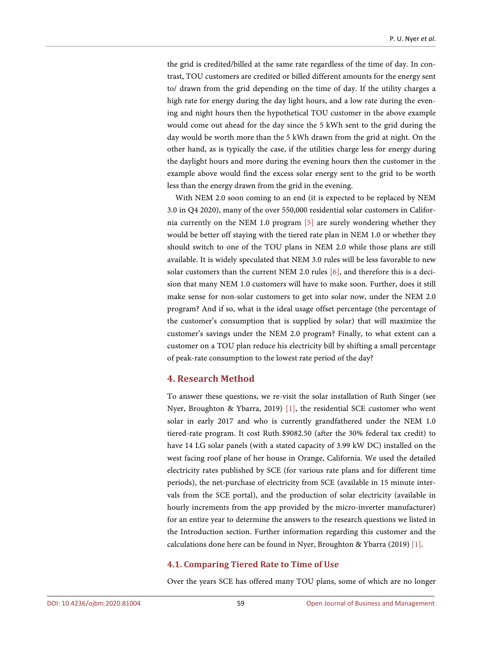the grid is credited/billed at the same rate regardless of the time of day. In contrast, TOU customers are credited or billed different amounts for the energy sent to/ drawn from the grid depending on the time of day. If the utility charges a high rate for energy during the day light hours, and a low rate during the evening and night hours then the hypothetical TOU customer in the above example would come out ahead for the day since the 5 kWh sent to the grid during the day would be worth more than the 5 kWh drawn from the grid at night. On the other hand, as is typically the case, if the utilities charge less for energy during the daylight hours and more during the evening hours then the customer in the example above would find the excess solar energy sent to the grid to be worth less than the energy drawn from the grid in the evening.

With NEM 2.0 soon coming to an end (it is expected to be replaced by NEM 3.0 in Q4 2020), many of the over 550,000 residential solar customers in California currently on the NEM 1.0 program [\[5\]](#page-13-4) are surely wondering whether they would be better off staying with the tiered rate plan in NEM 1.0 or whether they should switch to one of the TOU plans in NEM 2.0 while those plans are still available. It is widely speculated that NEM 3.0 rules will be less favorable to new solar customers than the current NEM 2.0 rules [\[6\],](#page-13-5) and therefore this is a decision that many NEM 1.0 customers will have to make soon. Further, does it still make sense for non-solar customers to get into solar now, under the NEM 2.0 program? And if so, what is the ideal usage offset percentage (the percentage of the customer's consumption that is supplied by solar) that will maximize the customer's savings under the NEM 2.0 program? Finally, to what extent can a customer on a TOU plan reduce his electricity bill by shifting a small percentage of peak-rate consumption to the lowest rate period of the day?

#### **4. Research Method**

To answer these questions, we re-visit the solar installation of Ruth Singer (see Nyer, Broughton & Ybarra, 2019) [\[1\],](#page-13-0) the residential SCE customer who went solar in early 2017 and who is currently grandfathered under the NEM 1.0 tiered-rate program. It cost Ruth \$9082.50 (after the 30% federal tax credit) to have 14 LG solar panels (with a stated capacity of 3.99 kW DC) installed on the west facing roof plane of her house in Orange, California. We used the detailed electricity rates published by SCE (for various rate plans and for different time periods), the net-purchase of electricity from SCE (available in 15 minute intervals from the SCE portal), and the production of solar electricity (available in hourly increments from the app provided by the micro-inverter manufacturer) for an entire year to determine the answers to the research questions we listed in the Introduction section. Further information regarding this customer and the calculations done here can be found in Nyer, Broughton & Ybarra (2019[\) \[1\].](#page-13-0)

#### **4.1. Comparing Tiered Rate to Time of Use**

Over the years SCE has offered many TOU plans, some of which are no longer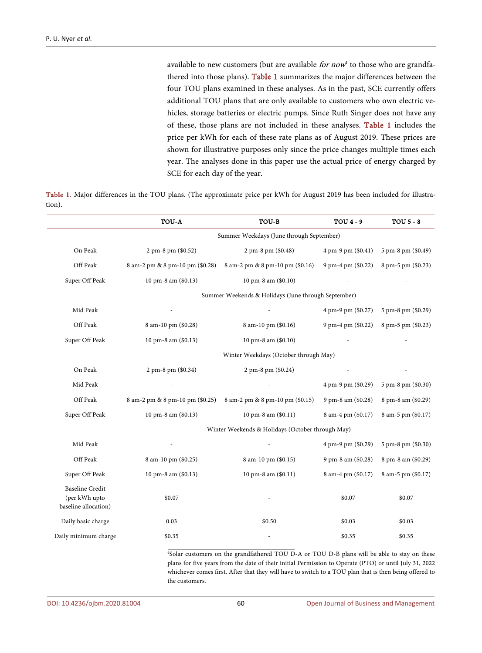available to new customers (but are available *for now*<sup>4</sup> to those who are grandfathered into those plans). [Table 1](#page-6-0) summarizes the major differences between the four TOU plans examined in these analyses. As in the past, SCE currently offers additional TOU plans that are only available to customers who own electric vehicles, storage batteries or electric pumps. Since Ruth Singer does not have any of these, those plans are not included in these analyses. [Table 1](#page-6-0) includes the price per kWh for each of these rate plans as of August 2019. These prices are shown for illustrative purposes only since the price changes multiple times each year. The analyses done in this paper use the actual price of energy charged by SCE for each day of the year.

<span id="page-6-0"></span>Table 1. Major differences in the TOU plans. (The approximate price per kWh for August 2019 has been included for illustration).

|                                                                 | TOU-A                           | TOU-B                                               | TOU 4 - 9          | <b>TOU 5 - 8</b>   |
|-----------------------------------------------------------------|---------------------------------|-----------------------------------------------------|--------------------|--------------------|
|                                                                 |                                 | Summer Weekdays (June through September)            |                    |                    |
| On Peak                                                         | 2 pm-8 pm (\$0.52)              | 2 pm-8 pm (\$0.48)                                  | 4 pm-9 pm (\$0.41) | 5 pm-8 pm (\$0.49) |
| Off Peak                                                        | 8 am-2 pm & 8 pm-10 pm (\$0.28) | 8 am-2 pm & 8 pm-10 pm (\$0.16)                     | 9 pm-4 pm (\$0.22) | 8 pm-5 pm (\$0.23) |
| Super Off Peak                                                  | 10 pm-8 am (\$0.13)             | 10 pm-8 am (\$0.10)                                 |                    |                    |
|                                                                 |                                 | Summer Weekends & Holidays (June through September) |                    |                    |
| Mid Peak                                                        |                                 |                                                     | 4 pm-9 pm (\$0.27) | 5 pm-8 pm (\$0.29) |
| Off Peak                                                        | 8 am-10 pm (\$0.28)             | 8 am-10 pm (\$0.16)                                 | 9 pm-4 pm (\$0.22) | 8 pm-5 pm (\$0.23) |
| Super Off Peak                                                  | 10 pm-8 am (\$0.13)             | 10 pm-8 am (\$0.10)                                 |                    |                    |
|                                                                 |                                 | Winter Weekdays (October through May)               |                    |                    |
| On Peak                                                         | 2 pm-8 pm (\$0.34)              | 2 pm-8 pm (\$0.24)                                  |                    |                    |
| Mid Peak                                                        |                                 |                                                     | 4 pm-9 pm (\$0.29) | 5 pm-8 pm (\$0.30) |
| Off Peak                                                        | 8 am-2 pm & 8 pm-10 pm (\$0.25) | 8 am-2 pm & 8 pm-10 pm (\$0.15)                     | 9 pm-8 am (\$0.28) | 8 pm-8 am (\$0.29) |
| Super Off Peak                                                  | 10 pm-8 am (\$0.13)             | 10 pm-8 am (\$0.11)                                 | 8 am-4 pm (\$0.17) | 8 am-5 pm (\$0.17) |
|                                                                 |                                 | Winter Weekends & Holidays (October through May)    |                    |                    |
| Mid Peak                                                        |                                 |                                                     | 4 pm-9 pm (\$0.29) | 5 pm-8 pm (\$0.30) |
| Off Peak                                                        | 8 am-10 pm (\$0.25)             | 8 am-10 pm (\$0.15)                                 | 9 pm-8 am (\$0.28) | 8 pm-8 am (\$0.29) |
| Super Off Peak                                                  | 10 pm-8 am (\$0.13)             | 10 pm-8 am (\$0.11)                                 | 8 am-4 pm (\$0.17) | 8 am-5 pm (\$0.17) |
| <b>Baseline Credit</b><br>(per kWh upto<br>baseline allocation) | \$0.07                          |                                                     | \$0.07             | \$0.07             |
| Daily basic charge                                              | 0.03                            | \$0.50                                              | \$0.03             | \$0.03             |
| Daily minimum charge                                            | \$0.35                          |                                                     | \$0.35             | \$0.35             |

4 Solar customers on the grandfathered TOU D-A or TOU D-B plans will be able to stay on these plans for five years from the date of their initial Permission to Operate (PTO) or until July 31, 2022 whichever comes first. After that they will have to switch to a TOU plan that is then being offered to the customers.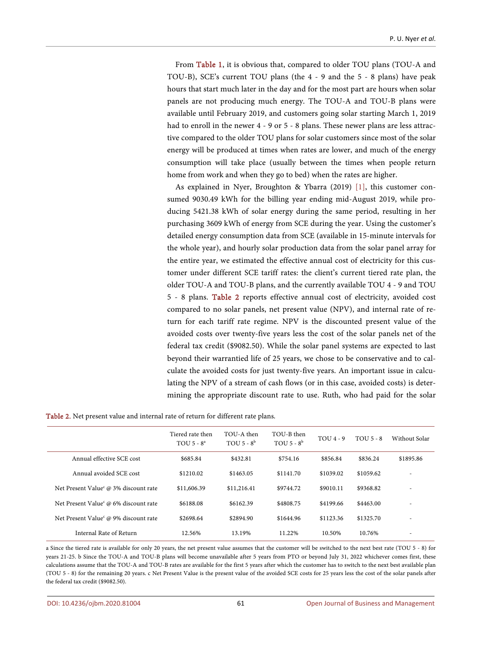From [Table 1,](#page-6-0) it is obvious that, compared to older TOU plans (TOU-A and TOU-B), SCE's current TOU plans (the 4 - 9 and the 5 - 8 plans) have peak hours that start much later in the day and for the most part are hours when solar panels are not producing much energy. The TOU-A and TOU-B plans were available until February 2019, and customers going solar starting March 1, 2019 had to enroll in the newer 4 - 9 or 5 - 8 plans. These newer plans are less attractive compared to the older TOU plans for solar customers since most of the solar energy will be produced at times when rates are lower, and much of the energy consumption will take place (usually between the times when people return home from work and when they go to bed) when the rates are higher.

As explained in Nyer, Broughton & Ybarra (2019) [\[1\],](#page-13-0) this customer consumed 9030.49 kWh for the billing year ending mid-August 2019, while producing 5421.38 kWh of solar energy during the same period, resulting in her purchasing 3609 kWh of energy from SCE during the year. Using the customer's detailed energy consumption data from SCE (available in 15-minute intervals for the whole year), and hourly solar production data from the solar panel array for the entire year, we estimated the effective annual cost of electricity for this customer under different SCE tariff rates: the client's current tiered rate plan, the older TOU-A and TOU-B plans, and the currently available TOU 4 - 9 and TOU 5 - 8 plans. [Table 2](#page-7-0) reports effective annual cost of electricity, avoided cost compared to no solar panels, net present value (NPV), and internal rate of return for each tariff rate regime. NPV is the discounted present value of the avoided costs over twenty-five years less the cost of the solar panels net of the federal tax credit (\$9082.50). While the solar panel systems are expected to last beyond their warrantied life of 25 years, we chose to be conservative and to calculate the avoided costs for just twenty-five years. An important issue in calculating the NPV of a stream of cash flows (or in this case, avoided costs) is determining the appropriate discount rate to use. Ruth, who had paid for the solar

<span id="page-7-0"></span>

|  |  |  |  |  |  |  |  |  | <b>Table 2.</b> Net present value and internal rate of return for different rate plans. |  |
|--|--|--|--|--|--|--|--|--|-----------------------------------------------------------------------------------------|--|
|--|--|--|--|--|--|--|--|--|-----------------------------------------------------------------------------------------|--|

|                                      | Tiered rate then<br>TOU $5 - 8^a$ | TOU-A then<br>TOU $5 - 8^b$ | TOU-B then<br>TOU $5 - 8^b$ | $TOU4 - 9$ | $TOU$ 5 - 8 | Without Solar |
|--------------------------------------|-----------------------------------|-----------------------------|-----------------------------|------------|-------------|---------------|
| Annual effective SCE cost            | \$685.84                          | \$432.81                    | \$754.16                    | \$856.84   | \$836.24    | \$1895.86     |
| Annual avoided SCE cost              | \$1210.02                         | \$1463.05                   | \$1141.70                   | \$1039.02  | \$1059.62   | ۰             |
| Net Present Value @ 3% discount rate | \$11,606.39                       | \$11,216.41                 | \$9744.72                   | \$9010.11  | \$9368.82   |               |
| Net Present Value @ 6% discount rate | \$6188.08                         | \$6162.39                   | \$4808.75                   | \$4199.66  | \$4463.00   |               |
| Net Present Value @ 9% discount rate | \$2698.64                         | \$2894.90                   | \$1644.96                   | \$1123.36  | \$1325.70   |               |
| Internal Rate of Return              | 12.56%                            | 13.19%                      | 11.22%                      | 10.50%     | 10.76%      |               |

a Since the tiered rate is available for only 20 years, the net present value assumes that the customer will be switched to the next best rate (TOU 5 - 8) for years 21-25. b Since the TOU-A and TOU-B plans will become unavailable after 5 years from PTO or beyond July 31, 2022 whichever comes first, these calculations assume that the TOU-A and TOU-B rates are available for the first 5 years after which the customer has to switch to the next best available plan (TOU 5 - 8) for the remaining 20 years. c Net Present Value is the present value of the avoided SCE costs for 25 years less the cost of the solar panels after the federal tax credit (\$9082.50).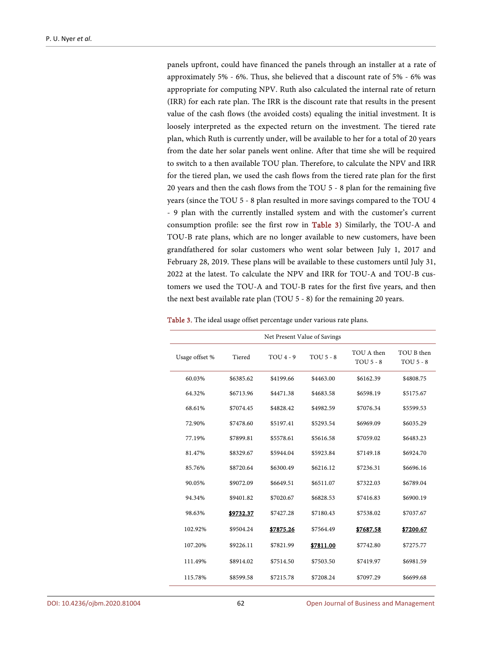panels upfront, could have financed the panels through an installer at a rate of approximately 5% - 6%. Thus, she believed that a discount rate of 5% - 6% was appropriate for computing NPV. Ruth also calculated the internal rate of return (IRR) for each rate plan. The IRR is the discount rate that results in the present value of the cash flows (the avoided costs) equaling the initial investment. It is loosely interpreted as the expected return on the investment. The tiered rate plan, which Ruth is currently under, will be available to her for a total of 20 years from the date her solar panels went online. After that time she will be required to switch to a then available TOU plan. Therefore, to calculate the NPV and IRR for the tiered plan, we used the cash flows from the tiered rate plan for the first 20 years and then the cash flows from the TOU 5 - 8 plan for the remaining five years (since the TOU 5 - 8 plan resulted in more savings compared to the TOU 4 - 9 plan with the currently installed system and with the customer's current consumption profile: see the first row in [Table 3\)](#page-8-0) Similarly, the TOU-A and TOU-B rate plans, which are no longer available to new customers, have been grandfathered for solar customers who went solar between July 1, 2017 and February 28, 2019. These plans will be available to these customers until July 31, 2022 at the latest. To calculate the NPV and IRR for TOU-A and TOU-B customers we used the TOU-A and TOU-B rates for the first five years, and then the next best available rate plan (TOU 5 - 8) for the remaining 20 years.

<span id="page-8-0"></span>

| Net Present Value of Savings |           |            |             |                           |                                |  |  |
|------------------------------|-----------|------------|-------------|---------------------------|--------------------------------|--|--|
| Usage offset %               | Tiered    | $TOU4 - 9$ | $TOU$ 5 - 8 | TOU A then<br>$TOU$ 5 - 8 | TOU B then<br><b>TOU 5 - 8</b> |  |  |
| 60.03%                       | \$6385.62 | \$4199.66  | \$4463.00   | \$6162.39                 | \$4808.75                      |  |  |
| 64.32%                       | \$6713.96 | \$4471.38  | \$4683.58   | \$6598.19                 | \$5175.67                      |  |  |
| 68.61%                       | \$7074.45 | \$4828.42  | \$4982.59   | \$7076.34                 | \$5599.53                      |  |  |
| 72.90%                       | \$7478.60 | \$5197.41  | \$5293.54   | \$6969.09                 | \$6035.29                      |  |  |
| 77.19%                       | \$7899.81 | \$5578.61  | \$5616.58   | \$7059.02                 | \$6483.23                      |  |  |
| 81.47%                       | \$8329.67 | \$5944.04  | \$5923.84   | \$7149.18                 | \$6924.70                      |  |  |
| 85.76%                       | \$8720.64 | \$6300.49  | \$6216.12   | \$7236.31                 | \$6696.16                      |  |  |
| 90.05%                       | \$9072.09 | \$6649.51  | \$6511.07   | \$7322.03                 | \$6789.04                      |  |  |
| 94.34%                       | \$9401.82 | \$7020.67  | \$6828.53   | \$7416.83                 | \$6900.19                      |  |  |
| 98.63%                       | \$9732.37 | \$7427.28  | \$7180.43   | \$7538.02                 | \$7037.67                      |  |  |
| 102.92%                      | \$9504.24 | \$7875.26  | \$7564.49   | \$7687.58                 | \$7200.67                      |  |  |
| 107.20%                      | \$9226.11 | \$7821.99  | \$7811.00   | \$7742.80                 | \$7275.77                      |  |  |
| 111.49%                      | \$8914.02 | \$7514.50  | \$7503.50   | \$7419.97                 | \$6981.59                      |  |  |
| 115.78%                      | \$8599.58 | \$7215.78  | \$7208.24   | \$7097.29                 | \$6699.68                      |  |  |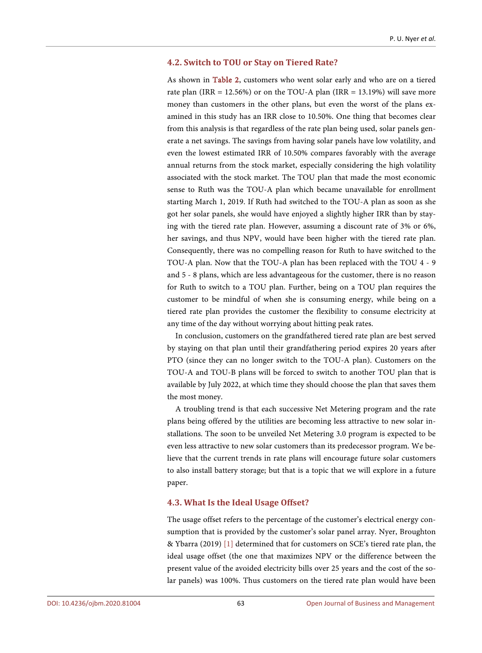#### **4.2. Switch to TOU or Stay on Tiered Rate?**

As shown in [Table 2,](#page-7-0) customers who went solar early and who are on a tiered rate plan (IRR = 12.56%) or on the TOU-A plan (IRR = 13.19%) will save more money than customers in the other plans, but even the worst of the plans examined in this study has an IRR close to 10.50%. One thing that becomes clear from this analysis is that regardless of the rate plan being used, solar panels generate a net savings. The savings from having solar panels have low volatility, and even the lowest estimated IRR of 10.50% compares favorably with the average annual returns from the stock market, especially considering the high volatility associated with the stock market. The TOU plan that made the most economic sense to Ruth was the TOU-A plan which became unavailable for enrollment starting March 1, 2019. If Ruth had switched to the TOU-A plan as soon as she got her solar panels, she would have enjoyed a slightly higher IRR than by staying with the tiered rate plan. However, assuming a discount rate of 3% or 6%, her savings, and thus NPV, would have been higher with the tiered rate plan. Consequently, there was no compelling reason for Ruth to have switched to the TOU-A plan. Now that the TOU-A plan has been replaced with the TOU 4 - 9 and 5 - 8 plans, which are less advantageous for the customer, there is no reason for Ruth to switch to a TOU plan. Further, being on a TOU plan requires the customer to be mindful of when she is consuming energy, while being on a tiered rate plan provides the customer the flexibility to consume electricity at any time of the day without worrying about hitting peak rates.

In conclusion, customers on the grandfathered tiered rate plan are best served by staying on that plan until their grandfathering period expires 20 years after PTO (since they can no longer switch to the TOU-A plan). Customers on the TOU-A and TOU-B plans will be forced to switch to another TOU plan that is available by July 2022, at which time they should choose the plan that saves them the most money.

A troubling trend is that each successive Net Metering program and the rate plans being offered by the utilities are becoming less attractive to new solar installations. The soon to be unveiled Net Metering 3.0 program is expected to be even less attractive to new solar customers than its predecessor program. We believe that the current trends in rate plans will encourage future solar customers to also install battery storage; but that is a topic that we will explore in a future paper.

#### **4.3. What Is the Ideal Usage Offset?**

The usage offset refers to the percentage of the customer's electrical energy consumption that is provided by the customer's solar panel array. Nyer, Broughton & Ybarra (2019) [\[1\]](#page-13-0) determined that for customers on SCE's tiered rate plan, the ideal usage offset (the one that maximizes NPV or the difference between the present value of the avoided electricity bills over 25 years and the cost of the solar panels) was 100%. Thus customers on the tiered rate plan would have been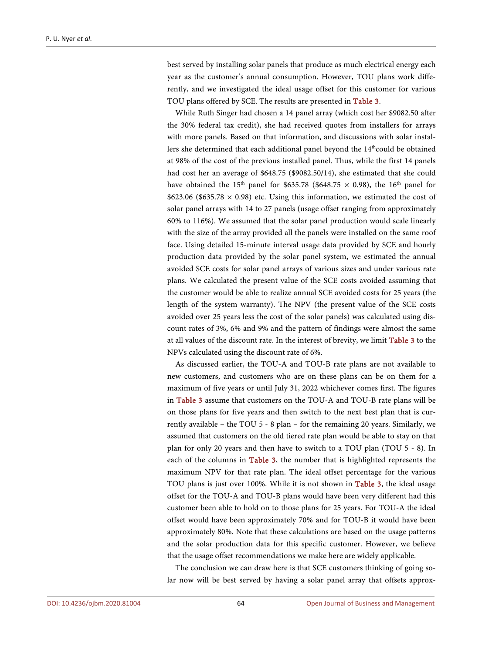best served by installing solar panels that produce as much electrical energy each year as the customer's annual consumption. However, TOU plans work differently, and we investigated the ideal usage offset for this customer for various TOU plans offered by SCE. The results are presented in [Table 3.](#page-8-0)

While Ruth Singer had chosen a 14 panel array (which cost her \$9082.50 after the 30% federal tax credit), she had received quotes from installers for arrays with more panels. Based on that information, and discussions with solar installers she determined that each additional panel beyond the 14<sup>th</sup>could be obtained at 98% of the cost of the previous installed panel. Thus, while the first 14 panels had cost her an average of \$648.75 (\$9082.50/14), she estimated that she could have obtained the 15<sup>th</sup> panel for \$635.78 (\$648.75  $\times$  0.98), the 16<sup>th</sup> panel for \$623.06 (\$635.78  $\times$  0.98) etc. Using this information, we estimated the cost of solar panel arrays with 14 to 27 panels (usage offset ranging from approximately 60% to 116%). We assumed that the solar panel production would scale linearly with the size of the array provided all the panels were installed on the same roof face. Using detailed 15-minute interval usage data provided by SCE and hourly production data provided by the solar panel system, we estimated the annual avoided SCE costs for solar panel arrays of various sizes and under various rate plans. We calculated the present value of the SCE costs avoided assuming that the customer would be able to realize annual SCE avoided costs for 25 years (the length of the system warranty). The NPV (the present value of the SCE costs avoided over 25 years less the cost of the solar panels) was calculated using discount rates of 3%, 6% and 9% and the pattern of findings were almost the same at all values of the discount rate. In the interest of brevity, we limi[t Table 3](#page-8-0) to the NPVs calculated using the discount rate of 6%.

As discussed earlier, the TOU-A and TOU-B rate plans are not available to new customers, and customers who are on these plans can be on them for a maximum of five years or until July 31, 2022 whichever comes first. The figures in [Table 3](#page-8-0) assume that customers on the TOU-A and TOU-B rate plans will be on those plans for five years and then switch to the next best plan that is currently available – the TOU 5 - 8 plan – for the remaining 20 years. Similarly, we assumed that customers on the old tiered rate plan would be able to stay on that plan for only 20 years and then have to switch to a TOU plan (TOU 5 - 8). In each of the columns in [Table 3,](#page-8-0) the number that is highlighted represents the maximum NPV for that rate plan. The ideal offset percentage for the various TOU plans is just over 100%. While it is not shown in [Table 3,](#page-8-0) the ideal usage offset for the TOU-A and TOU-B plans would have been very different had this customer been able to hold on to those plans for 25 years. For TOU-A the ideal offset would have been approximately 70% and for TOU-B it would have been approximately 80%. Note that these calculations are based on the usage patterns and the solar production data for this specific customer. However, we believe that the usage offset recommendations we make here are widely applicable.

The conclusion we can draw here is that SCE customers thinking of going solar now will be best served by having a solar panel array that offsets approx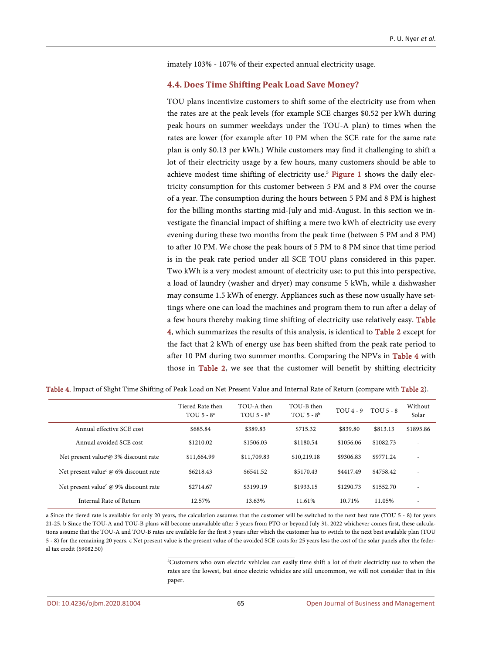imately 103% - 107% of their expected annual electricity usage.

#### **4.4. Does Time Shifting Peak Load Save Money?**

TOU plans incentivize customers to shift some of the electricity use from when the rates are at the peak levels (for example SCE charges \$0.52 per kWh during peak hours on summer weekdays under the TOU-A plan) to times when the rates are lower (for example after 10 PM when the SCE rate for the same rate plan is only \$0.13 per kWh.) While customers may find it challenging to shift a lot of their electricity usage by a few hours, many customers should be able to achieve modest time shifting of electricity use.<sup>5</sup> Fi**gure 1** shows the daily electricity consumption for this customer between 5 PM and 8 PM over the course of a year. The consumption during the hours between 5 PM and 8 PM is highest for the billing months starting mid-July and mid-August. In this section we investigate the financial impact of shifting a mere two kWh of electricity use every evening during these two months from the peak time (between 5 PM and 8 PM) to after 10 PM. We chose the peak hours of 5 PM to 8 PM since that time period is in the peak rate period under all SCE TOU plans considered in this paper. Two kWh is a very modest amount of electricity use; to put this into perspective, a load of laundry (washer and dryer) may consume 5 kWh, while a dishwasher may consume 1.5 kWh of energy. Appliances such as these now usually have settings where one can load the machines and program them to run after a delay of a few hours thereby making time shifting of electricity use relatively easy. [Table](#page-11-0)  [4,](#page-11-0) which summarizes the results of this analysis, is identical to [Table 2](#page-7-0) except for the fact that 2 kWh of energy use has been shifted from the peak rate period to after 10 PM during two summer months. Comparing the NPVs in [Table 4](#page-11-0) with those in [Table 2,](#page-7-0) we see that the customer will benefit by shifting electricity

|                                             | Tiered Rate then<br>TOU $5 - 8^a$ | TOU-A then<br>TOU $5 - 8^b$ | TOU-B then<br>TOU $5 - 8^b$ | $TOU4 - 9$ | TOU $5 - 8$ | Without<br>Solar         |
|---------------------------------------------|-----------------------------------|-----------------------------|-----------------------------|------------|-------------|--------------------------|
| Annual effective SCE cost                   | \$685.84                          | \$389.83                    | \$715.32                    | \$839.80   | \$813.13    | \$1895.86                |
| Annual avoided SCE cost                     | \$1210.02                         | \$1506.03                   | \$1180.54                   | \$1056.06  | \$1082.73   | ٠                        |
| Net present value @ 3% discount rate        | \$11,664.99                       | \$11,709.83                 | \$10,219.18                 | \$9306.83  | \$9771.24   | ٠                        |
| Net present value $\omega$ 6% discount rate | \$6218.43                         | \$6541.52                   | \$5170.43                   | \$4417.49  | \$4758.42   |                          |
| Net present value @ 9% discount rate        | \$2714.67                         | \$3199.19                   | \$1933.15                   | \$1290.73  | \$1552.70   | $\overline{\phantom{a}}$ |
| Internal Rate of Return                     | 12.57%                            | 13.63%                      | 11.61%                      | 10.71%     | 11.05%      |                          |

<span id="page-11-0"></span>Table 4. Impact of Slight Time Shifting of Peak Load on Net Present Value and Internal Rate of Return (compare wit[h Table 2\)](#page-7-0).

a Since the tiered rate is available for only 20 years, the calculation assumes that the customer will be switched to the next best rate (TOU 5 - 8) for years 21-25. b Since the TOU-A and TOU-B plans will become unavailable after 5 years from PTO or beyond July 31, 2022 whichever comes first, these calculations assume that the TOU-A and TOU-B rates are available for the first 5 years after which the customer has to switch to the next best available plan (TOU 5 - 8) for the remaining 20 years. c Net present value is the present value of the avoided SCE costs for 25 years less the cost of the solar panels after the federal tax credit (\$9082.50)

> 5 Customers who own electric vehicles can easily time shift a lot of their electricity use to when the rates are the lowest, but since electric vehicles are still uncommon, we will not consider that in this paper.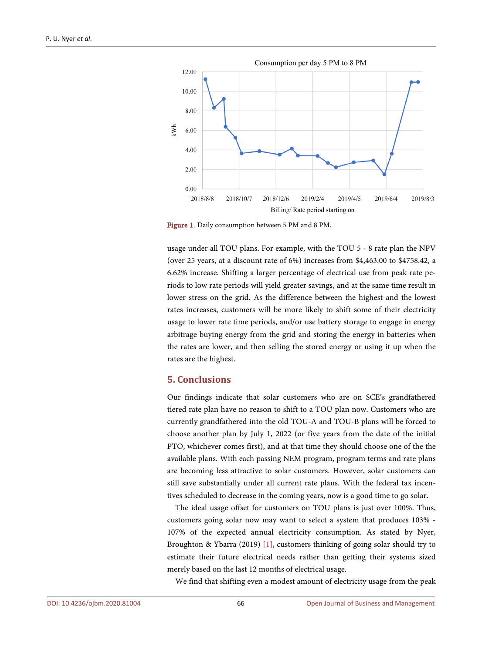<span id="page-12-0"></span>

Figure 1. Daily consumption between 5 PM and 8 PM.

usage under all TOU plans. For example, with the TOU 5 - 8 rate plan the NPV (over 25 years, at a discount rate of 6%) increases from \$4,463.00 to \$4758.42, a 6.62% increase. Shifting a larger percentage of electrical use from peak rate periods to low rate periods will yield greater savings, and at the same time result in lower stress on the grid. As the difference between the highest and the lowest rates increases, customers will be more likely to shift some of their electricity usage to lower rate time periods, and/or use battery storage to engage in energy arbitrage buying energy from the grid and storing the energy in batteries when the rates are lower, and then selling the stored energy or using it up when the rates are the highest.

#### **5. Conclusions**

Our findings indicate that solar customers who are on SCE's grandfathered tiered rate plan have no reason to shift to a TOU plan now. Customers who are currently grandfathered into the old TOU-A and TOU-B plans will be forced to choose another plan by July 1, 2022 (or five years from the date of the initial PTO, whichever comes first), and at that time they should choose one of the the available plans. With each passing NEM program, program terms and rate plans are becoming less attractive to solar customers. However, solar customers can still save substantially under all current rate plans. With the federal tax incentives scheduled to decrease in the coming years, now is a good time to go solar.

The ideal usage offset for customers on TOU plans is just over 100%. Thus, customers going solar now may want to select a system that produces 103% - 107% of the expected annual electricity consumption. As stated by Nyer, Broughton & Ybarra (2019) [\[1\],](#page-13-0) customers thinking of going solar should try to estimate their future electrical needs rather than getting their systems sized merely based on the last 12 months of electrical usage.

We find that shifting even a modest amount of electricity usage from the peak